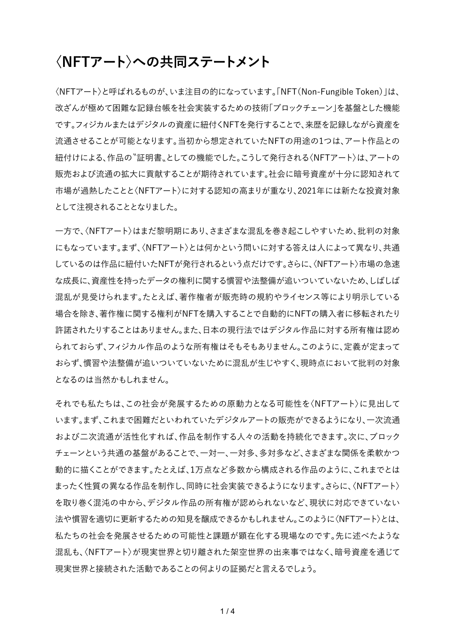## **〈NFTアート〉への共同ステートメント**

〈NFTアート〉と呼ばれるものが、いま注目の的になっています。「NFT(Non-Fungible Token)」は、 改ざんが極めて困難な記録台帳を社会実装するための技術「ブロックチェーン」を基盤とした機能 です。フィジカルまたはデジタルの資産に紐付くNFTを発行することで、来歴を記録しながら資産を 流通させることが可能となります。当初から想定されていたNFTの用途の1つは、アート作品との 紐付けによる、作品の〝証明書〟としての機能でした。こうして発行される〈NFTアート〉は、アートの 販売および流通の拡大に貢献することが期待されています。社会に暗号資産が十分に認知されて 市場が過熱したことと〈NFTアート〉に対する認知の高まりが重なり、2021年には新たな投資対象 として注視されることとなりました。

一方で、〈NFTアート〉はまだ黎明期にあり、さまざまな混乱を巻き起こしやすいため、批判の対象 にもなっています。まず、〈NFTアート〉とは何かという問いに対する答えは人によって異なり、共通 しているのは作品に紐付いたNFTが発行されるという点だけです。さらに、〈NFTアート〉市場の急速 な成長に、資産性を持ったデータの権利に関する慣習や法整備が追いついていないため、しばしば 混乱が見受けられます。たとえば、著作権者が販売時の規約やライセンス等により明示している 場合を除き、著作権に関する権利がNFTを購入することで自動的にNFTの購入者に移転されたり 許諾されたりすることはありません。また、日本の現行法ではデジタル作品に対する所有権は認め られておらず、フィジカル作品のような所有権はそもそもありません。このように、定義が定まって おらず、慣習や法整備が追いついていないために混乱が生じやすく、現時点において批判の対象 となるのは当然かもしれません。

それでも私たちは、この社会が発展するための原動力となる可能性を〈NFTアート〉に見出して います。まず、これまで困難だといわれていたデジタルアートの販売ができるようになり、一次流通 および二次流通が活性化すれば、作品を制作する人々の活動を持続化できます。次に、ブロック チェーンという共通の基盤があることで、一対一、一対多、多対多など、さまざまな関係を柔軟かつ 動的に描くことができます。たとえば、1万点など多数から構成される作品のように、これまでとは まったく性質の異なる作品を制作し、同時に社会実装できるようになります。さらに、〈NFTアート〉 を取り巻く混沌の中から、デジタル作品の所有権が認められないなど、現状に対応できていない 法や慣習を適切に更新するための知見を醸成できるかもしれません。このように〈NFTアート〉とは、 私たちの社会を発展させるための可能性と課題が顕在化する現場なのです。先に述べたような 混乱も、〈NFTアート〉が現実世界と切り離された架空世界の出来事ではなく、暗号資産を通じて 現実世界と接続された活動であることの何よりの証拠だと言えるでしょう。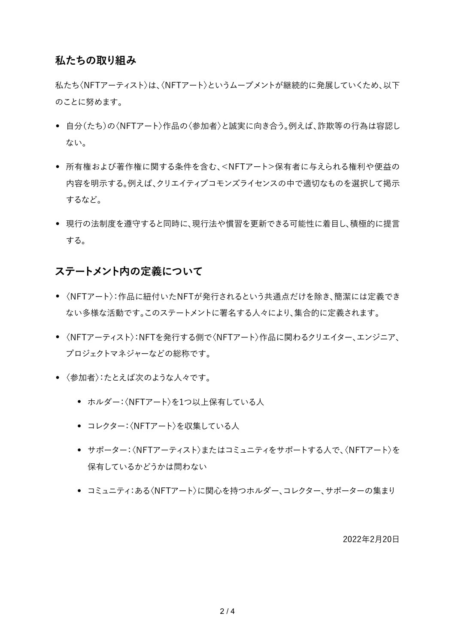### **私たちの取り組み**

私たち〈NFTアーティスト〉は、〈NFTアート〉というムーブメントが継続的に発展していくため、以下 のことに努めます。

- 自分(たち)の〈NFTアート〉作品の〈参加者〉と誠実に向き合う。例えば、詐欺等の行為は容認し ない。
- 所有権および著作権に関する条件を含む、<NFTアート>保有者に与えられる権利や便益の 内容を明示する。例えば、クリエイティブコモンズライセンスの中で適切なものを選択して掲示 するなど。
- 現行の法制度を遵守すると同時に、現行法や慣習を更新できる可能性に着目し、積極的に提言 する。

### **ステートメント内の定義について**

- 〈NFTアート〉:作品に紐付いたNFTが発行されるという共通点だけを除き、簡潔には定義でき ない多様な活動です。このステートメントに署名する人々により、集合的に定義されます。
- 〈NFTアーティスト〉:NFTを発行する側で〈NFTアート〉作品に関わるクリエイター、エンジニア、 プロジェクトマネジャーなどの総称です。
- 〈参加者〉:たとえば次のような人々です。
	- ホルダー:〈NFTアート〉を1つ以上保有している人
	- コレクター:〈NFTアート〉を収集している人
	- サポーター:〈NFTアーティスト〉またはコミュニティをサポートする人で、〈NFTアート〉を 保有しているかどうかは問わない
	- コミュニティ:ある〈NFTアート〉に関心を持つホルダー、コレクター、サポーターの集まり

2022年2月20日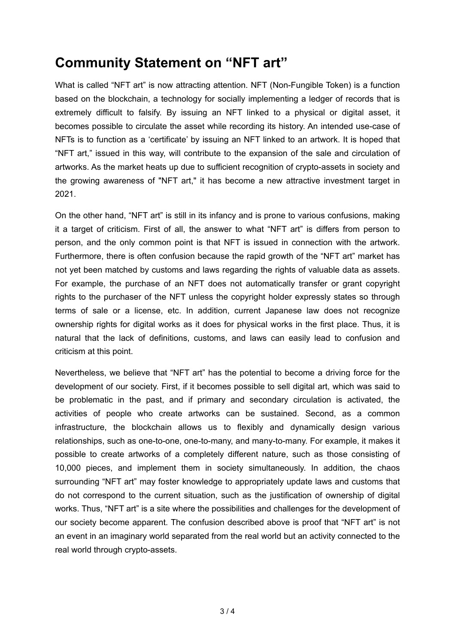# **Community Statement on "NFT art"**

What is called "NFT art" is now attracting attention. NFT (Non-Fungible Token) is a function based on the blockchain, a technology for socially implementing a ledger of records that is extremely difficult to falsify. By issuing an NFT linked to a physical or digital asset, it becomes possible to circulate the asset while recording its history. An intended use-case of NFTs is to function as a 'certificate' by issuing an NFT linked to an artwork. It is hoped that "NFT art," issued in this way, will contribute to the expansion of the sale and circulation of artworks. As the market heats up due to sufficient recognition of crypto-assets in society and the growing awareness of "NFT art," it has become a new attractive investment target in 2021.

On the other hand, "NFT art" is still in its infancy and is prone to various confusions, making it a target of criticism. First of all, the answer to what "NFT art" is differs from person to person, and the only common point is that NFT is issued in connection with the artwork. Furthermore, there is often confusion because the rapid growth of the "NFT art" market has not yet been matched by customs and laws regarding the rights of valuable data as assets. For example, the purchase of an NFT does not automatically transfer or grant copyright rights to the purchaser of the NFT unless the copyright holder expressly states so through terms of sale or a license, etc. In addition, current Japanese law does not recognize ownership rights for digital works as it does for physical works in the first place. Thus, it is natural that the lack of definitions, customs, and laws can easily lead to confusion and criticism at this point.

Nevertheless, we believe that "NFT art" has the potential to become a driving force for the development of our society. First, if it becomes possible to sell digital art, which was said to be problematic in the past, and if primary and secondary circulation is activated, the activities of people who create artworks can be sustained. Second, as a common infrastructure, the blockchain allows us to flexibly and dynamically design various relationships, such as one-to-one, one-to-many, and many-to-many. For example, it makes it possible to create artworks of a completely different nature, such as those consisting of 10,000 pieces, and implement them in society simultaneously. In addition, the chaos surrounding "NFT art" may foster knowledge to appropriately update laws and customs that do not correspond to the current situation, such as the justification of ownership of digital works. Thus, "NFT art" is a site where the possibilities and challenges for the development of our society become apparent. The confusion described above is proof that "NFT art" is not an event in an imaginary world separated from the real world but an activity connected to the real world through crypto-assets.